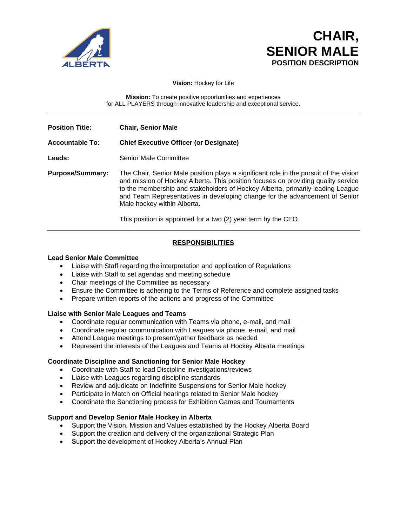

# **CHAIR, SENIOR MALE POSITION DESCRIPTION**

**Vision:** Hockey for Life

**Mission:** To create positive opportunities and experiences for ALL PLAYERS through innovative leadership and exceptional service.

**Position Title: Chair, Senior Male**

## **Accountable To: Chief Executive Officer (or Designate)**

Leads: Senior Male Committee

**Purpose/Summary:** The Chair, Senior Male position plays a significant role in the pursuit of the vision and mission of Hockey Alberta. This position focuses on providing quality service to the membership and stakeholders of Hockey Alberta, primarily leading League and Team Representatives in developing change for the advancement of Senior Male hockey within Alberta.

This position is appointed for a two (2) year term by the CEO.

# **RESPONSIBILITIES**

#### **Lead Senior Male Committee**

- Liaise with Staff regarding the interpretation and application of Regulations
- Liaise with Staff to set agendas and meeting schedule
- Chair meetings of the Committee as necessary
- Ensure the Committee is adhering to the Terms of Reference and complete assigned tasks
- Prepare written reports of the actions and progress of the Committee

#### **Liaise with Senior Male Leagues and Teams**

- Coordinate regular communication with Teams via phone, e-mail, and mail
- Coordinate regular communication with Leagues via phone, e-mail, and mail
- Attend League meetings to present/gather feedback as needed
- Represent the interests of the Leagues and Teams at Hockey Alberta meetings

#### **Coordinate Discipline and Sanctioning for Senior Male Hockey**

- Coordinate with Staff to lead Discipline investigations/reviews
- Liaise with Leagues regarding discipline standards
- Review and adjudicate on Indefinite Suspensions for Senior Male hockey
- Participate in Match on Official hearings related to Senior Male hockey
- Coordinate the Sanctioning process for Exhibition Games and Tournaments

#### **Support and Develop Senior Male Hockey in Alberta**

- Support the Vision, Mission and Values established by the Hockey Alberta Board
- Support the creation and delivery of the organizational Strategic Plan
- Support the development of Hockey Alberta's Annual Plan